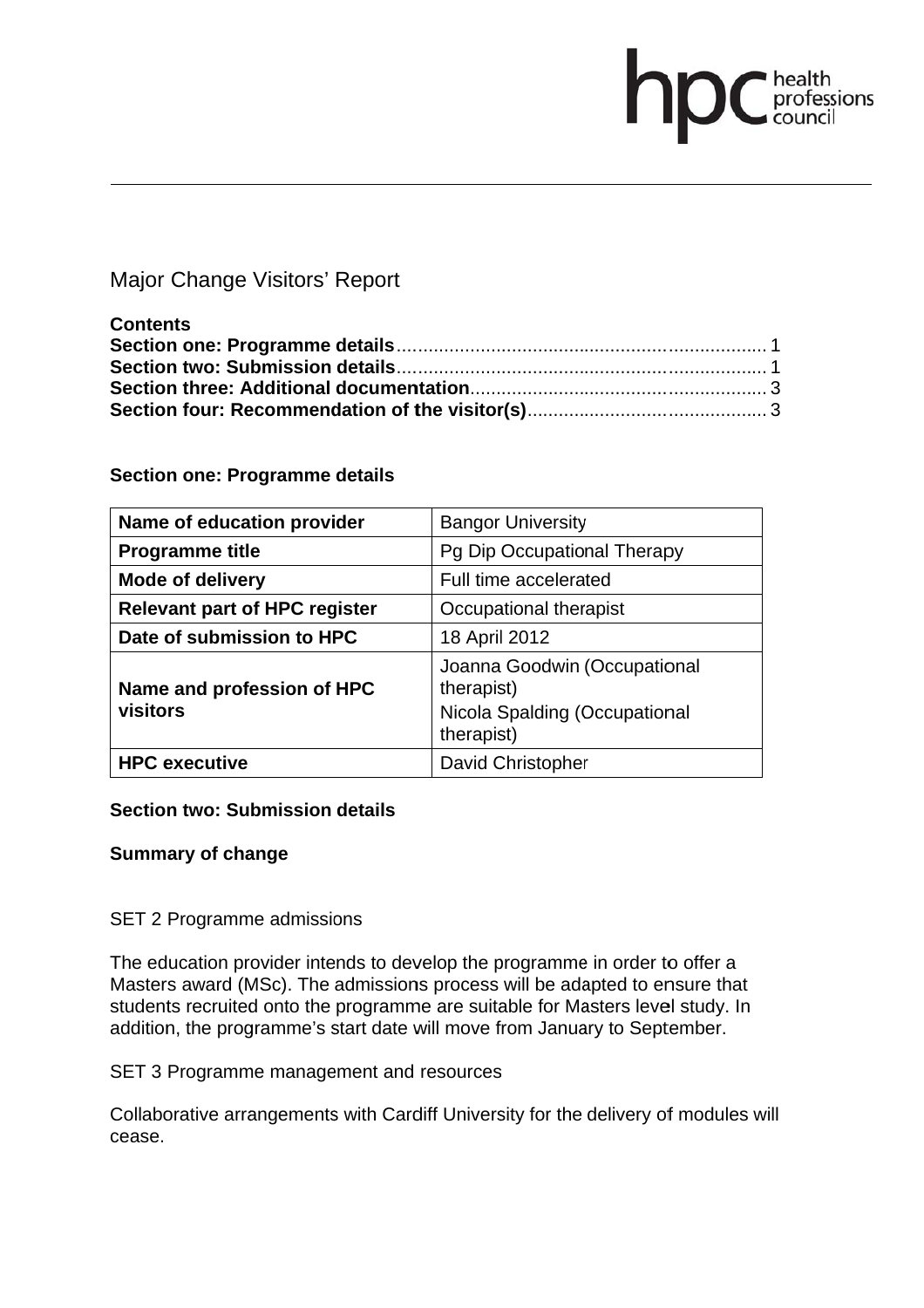# Major Change Visitors' Report

| <b>Contents</b> |  |
|-----------------|--|
|                 |  |
|                 |  |
|                 |  |
|                 |  |

health<br>professions<br>council

## **Section one: Programme details**

| Name of education provider             | <b>Bangor University</b>                                                                  |
|----------------------------------------|-------------------------------------------------------------------------------------------|
| <b>Programme title</b>                 | Pg Dip Occupational Therapy                                                               |
| <b>Mode of delivery</b>                | Full time accelerated                                                                     |
| <b>Relevant part of HPC register</b>   | Occupational therapist                                                                    |
| Date of submission to HPC              | 18 April 2012                                                                             |
| Name and profession of HPC<br>visitors | Joanna Goodwin (Occupational<br>therapist)<br>Nicola Spalding (Occupational<br>therapist) |
| <b>HPC</b> executive                   | David Christopher                                                                         |

## **Section two: Submission details**

#### **Summary of change**

SET 2 Programme admissions

The education provider intends to develop the programme in order to offer a Masters award (MSc). The admissions process will be adapted to ensure that students recruited onto the programme are suitable for Masters level study. In addition, the programme's start date will move from January to September.

SET 3 Programme management and resources

Collaborative arrangements with Cardiff University for the delivery of modules will cease.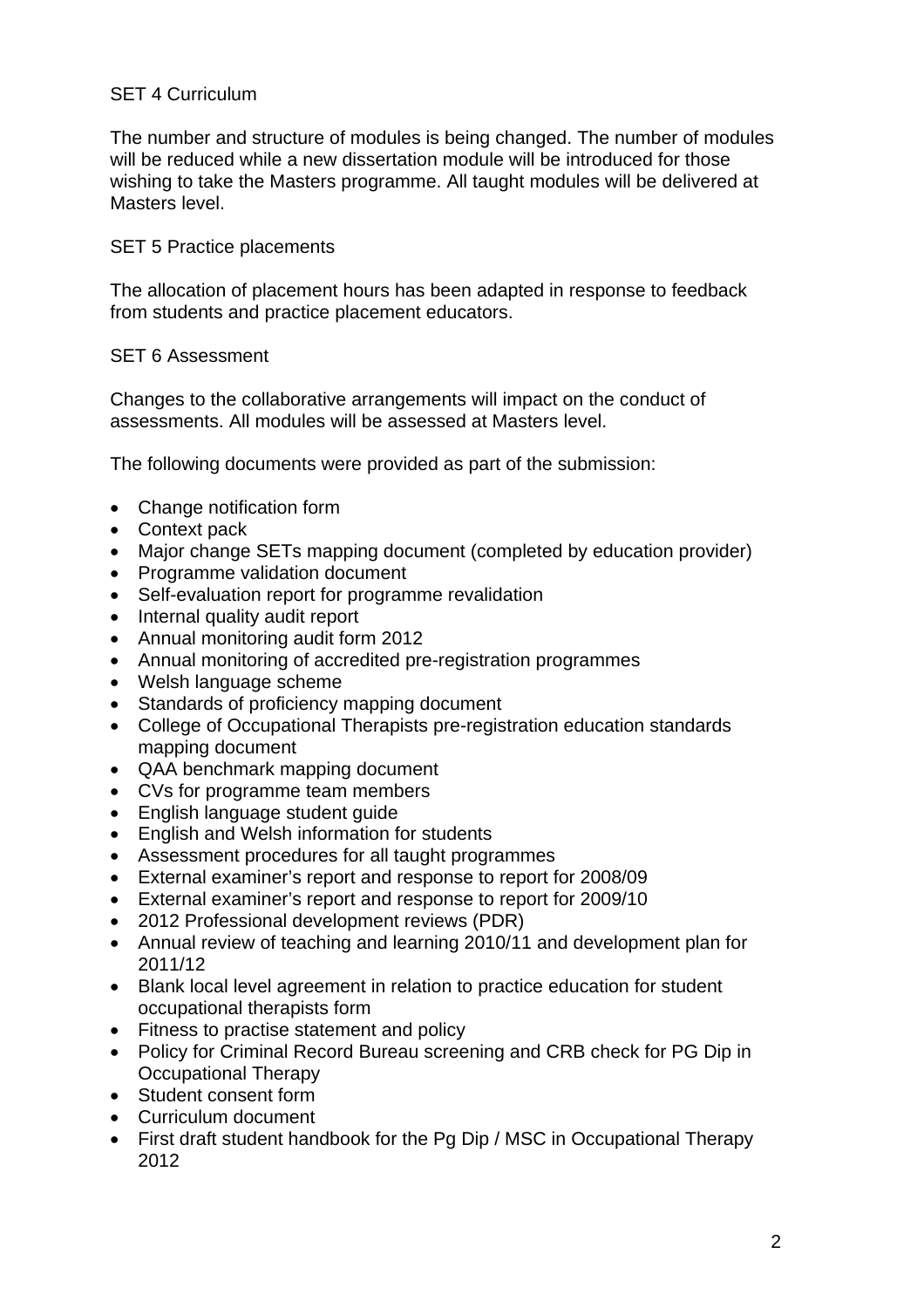# SET 4 Curriculum

The number and structure of modules is being changed. The number of modules will be reduced while a new dissertation module will be introduced for those wishing to take the Masters programme. All taught modules will be delivered at Masters level.

#### SET 5 Practice placements

The allocation of placement hours has been adapted in response to feedback from students and practice placement educators.

#### SET 6 Assessment

Changes to the collaborative arrangements will impact on the conduct of assessments. All modules will be assessed at Masters level.

The following documents were provided as part of the submission:

- Change notification form
- Context pack
- Major change SETs mapping document (completed by education provider)
- Programme validation document
- Self-evaluation report for programme revalidation
- Internal quality audit report
- Annual monitoring audit form 2012
- Annual monitoring of accredited pre-registration programmes
- Welsh language scheme
- Standards of proficiency mapping document
- College of Occupational Therapists pre-registration education standards mapping document
- QAA benchmark mapping document
- CVs for programme team members
- English language student guide
- English and Welsh information for students
- Assessment procedures for all taught programmes
- External examiner's report and response to report for 2008/09
- External examiner's report and response to report for 2009/10
- 2012 Professional development reviews (PDR)
- Annual review of teaching and learning 2010/11 and development plan for 2011/12
- Blank local level agreement in relation to practice education for student occupational therapists form
- Fitness to practise statement and policy
- Policy for Criminal Record Bureau screening and CRB check for PG Dip in Occupational Therapy
- Student consent form
- Curriculum document
- First draft student handbook for the Pg Dip / MSC in Occupational Therapy 2012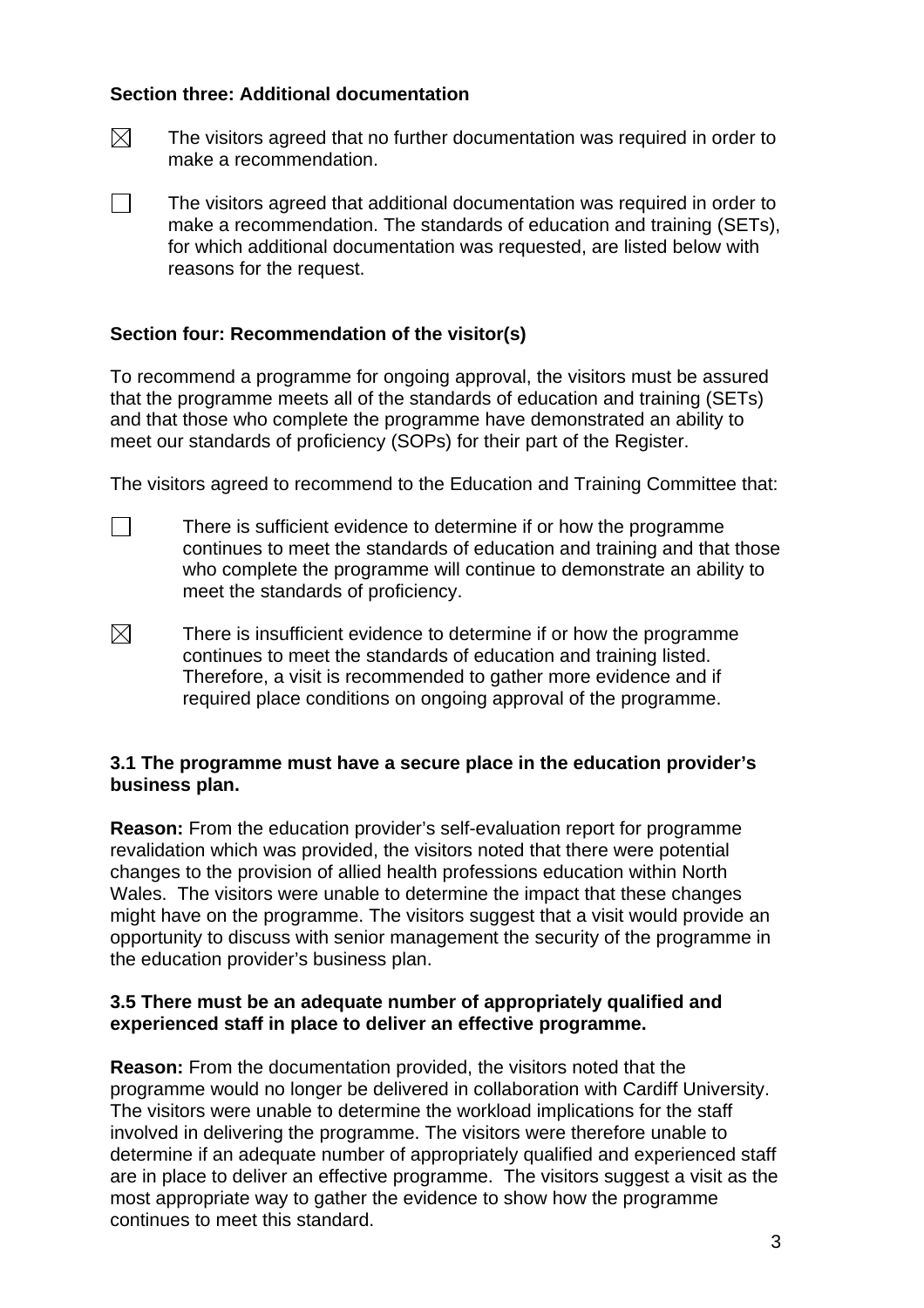## **Section three: Additional documentation**

- $\boxtimes$  The visitors agreed that no further documentation was required in order to make a recommendation.
- $\Box$  The visitors agreed that additional documentation was required in order to make a recommendation. The standards of education and training (SETs), for which additional documentation was requested, are listed below with reasons for the request.

## **Section four: Recommendation of the visitor(s)**

To recommend a programme for ongoing approval, the visitors must be assured that the programme meets all of the standards of education and training (SETs) and that those who complete the programme have demonstrated an ability to meet our standards of proficiency (SOPs) for their part of the Register.

The visitors agreed to recommend to the Education and Training Committee that:

- $\Box$  There is sufficient evidence to determine if or how the programme continues to meet the standards of education and training and that those who complete the programme will continue to demonstrate an ability to meet the standards of proficiency.
- $\boxtimes$  There is insufficient evidence to determine if or how the programme continues to meet the standards of education and training listed. Therefore, a visit is recommended to gather more evidence and if required place conditions on ongoing approval of the programme.

## **3.1 The programme must have a secure place in the education provider's business plan.**

**Reason:** From the education provider's self-evaluation report for programme revalidation which was provided, the visitors noted that there were potential changes to the provision of allied health professions education within North Wales. The visitors were unable to determine the impact that these changes might have on the programme. The visitors suggest that a visit would provide an opportunity to discuss with senior management the security of the programme in the education provider's business plan.

## **3.5 There must be an adequate number of appropriately qualified and experienced staff in place to deliver an effective programme.**

**Reason:** From the documentation provided, the visitors noted that the programme would no longer be delivered in collaboration with Cardiff University. The visitors were unable to determine the workload implications for the staff involved in delivering the programme. The visitors were therefore unable to determine if an adequate number of appropriately qualified and experienced staff are in place to deliver an effective programme. The visitors suggest a visit as the most appropriate way to gather the evidence to show how the programme continues to meet this standard.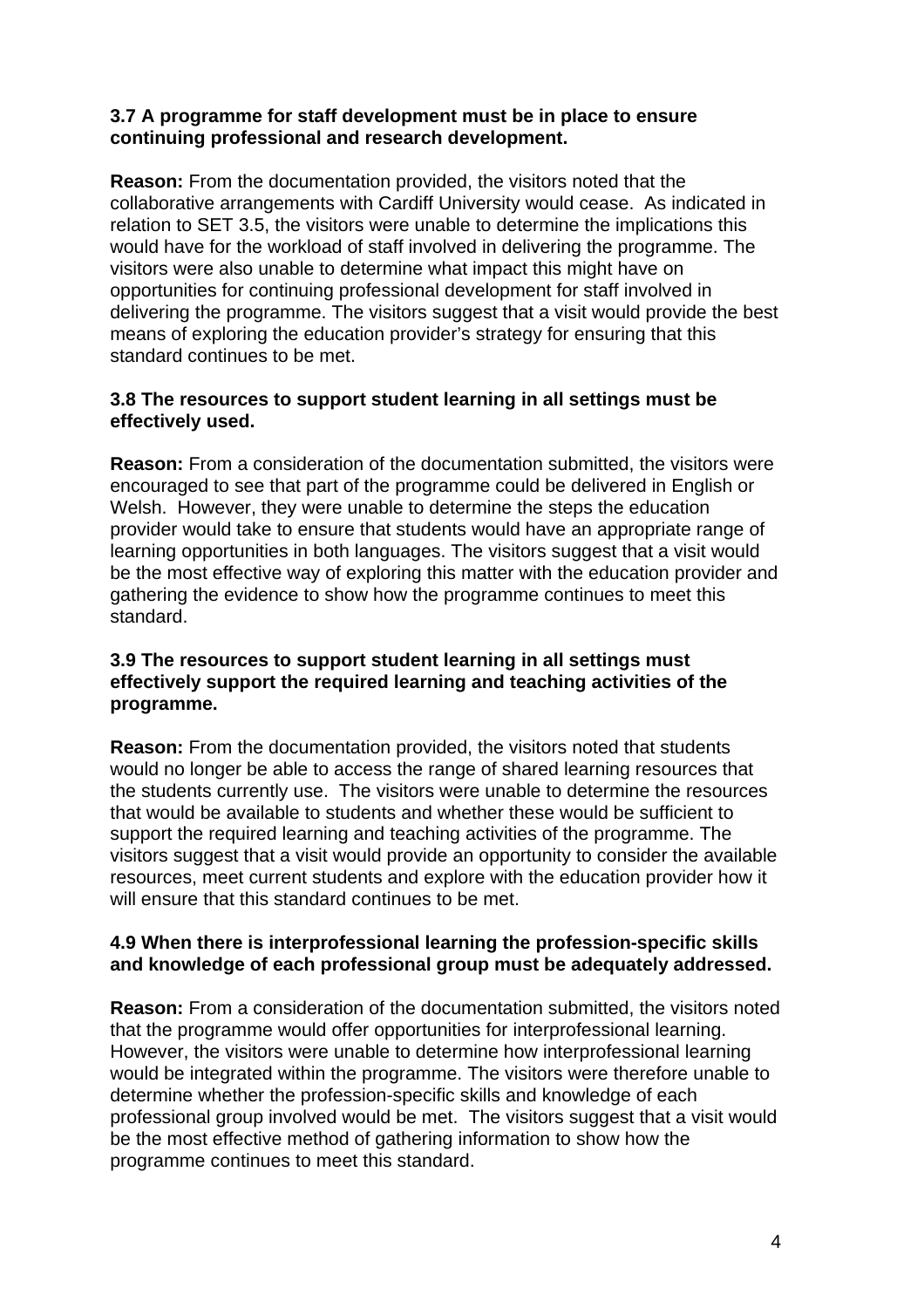## **3.7 A programme for staff development must be in place to ensure continuing professional and research development.**

**Reason:** From the documentation provided, the visitors noted that the collaborative arrangements with Cardiff University would cease. As indicated in relation to SET 3.5, the visitors were unable to determine the implications this would have for the workload of staff involved in delivering the programme. The visitors were also unable to determine what impact this might have on opportunities for continuing professional development for staff involved in delivering the programme. The visitors suggest that a visit would provide the best means of exploring the education provider's strategy for ensuring that this standard continues to be met.

# **3.8 The resources to support student learning in all settings must be effectively used.**

**Reason:** From a consideration of the documentation submitted, the visitors were encouraged to see that part of the programme could be delivered in English or Welsh. However, they were unable to determine the steps the education provider would take to ensure that students would have an appropriate range of learning opportunities in both languages. The visitors suggest that a visit would be the most effective way of exploring this matter with the education provider and gathering the evidence to show how the programme continues to meet this standard.

## **3.9 The resources to support student learning in all settings must effectively support the required learning and teaching activities of the programme.**

**Reason:** From the documentation provided, the visitors noted that students would no longer be able to access the range of shared learning resources that the students currently use. The visitors were unable to determine the resources that would be available to students and whether these would be sufficient to support the required learning and teaching activities of the programme. The visitors suggest that a visit would provide an opportunity to consider the available resources, meet current students and explore with the education provider how it will ensure that this standard continues to be met.

## **4.9 When there is interprofessional learning the profession-specific skills and knowledge of each professional group must be adequately addressed.**

**Reason:** From a consideration of the documentation submitted, the visitors noted that the programme would offer opportunities for interprofessional learning. However, the visitors were unable to determine how interprofessional learning would be integrated within the programme. The visitors were therefore unable to determine whether the profession-specific skills and knowledge of each professional group involved would be met. The visitors suggest that a visit would be the most effective method of gathering information to show how the programme continues to meet this standard.